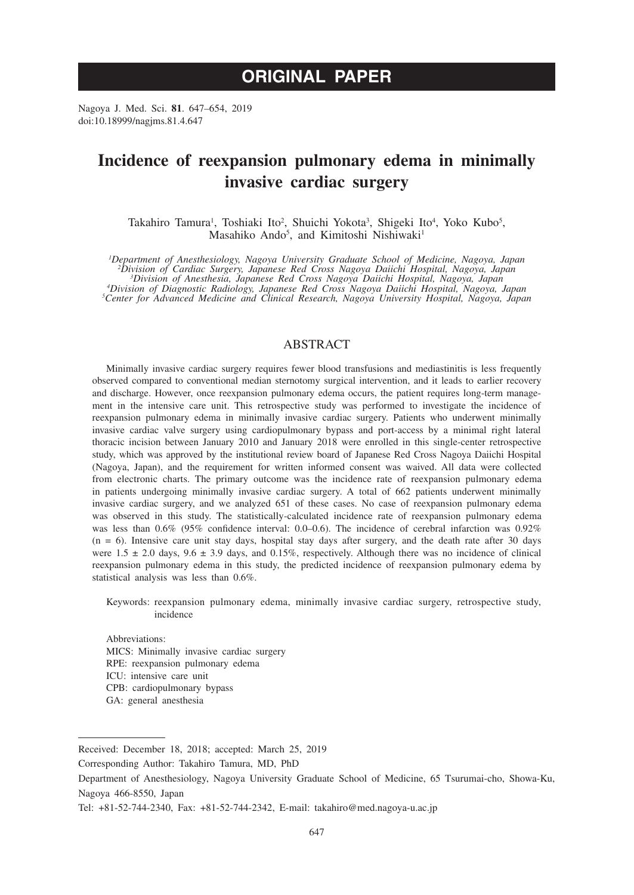# **ORIGINAL PAPER**

Nagoya J. Med. Sci. **81**. 647–654, 2019 doi:10.18999/nagjms.81.4.647

# **Incidence of reexpansion pulmonary edema in minimally invasive cardiac surgery**

Takahiro Tamura<sup>1</sup>, Toshiaki Ito<sup>2</sup>, Shuichi Yokota<sup>3</sup>, Shigeki Ito<sup>4</sup>, Yoko Kubo<sup>5</sup>, Masahiko Ando<sup>5</sup>, and Kimitoshi Nishiwaki<sup>1</sup>

<sup>1</sup>Department of Anesthesiology, Nagoya University Graduate School of Medicine, Nagoya, Japan<sup>2</sup> Division of Cardiac Surgery, Japanese Red Cross Nagoya Daiichi Hospital, Nagoya, Japan<sup>2</sup> Division of Cardiac Surgery, Japane *Division of Diagnostic Radiology, Japanese Red Cross Nagoya Daiichi Hospital, Nagoya, Japan <sup>5</sup> Center for Advanced Medicine and Clinical Research, Nagoya University Hospital, Nagoya, Japan*

## ABSTRACT

Minimally invasive cardiac surgery requires fewer blood transfusions and mediastinitis is less frequently observed compared to conventional median sternotomy surgical intervention, and it leads to earlier recovery and discharge. However, once reexpansion pulmonary edema occurs, the patient requires long-term management in the intensive care unit. This retrospective study was performed to investigate the incidence of reexpansion pulmonary edema in minimally invasive cardiac surgery. Patients who underwent minimally invasive cardiac valve surgery using cardiopulmonary bypass and port-access by a minimal right lateral thoracic incision between January 2010 and January 2018 were enrolled in this single-center retrospective study, which was approved by the institutional review board of Japanese Red Cross Nagoya Daiichi Hospital (Nagoya, Japan), and the requirement for written informed consent was waived. All data were collected from electronic charts. The primary outcome was the incidence rate of reexpansion pulmonary edema in patients undergoing minimally invasive cardiac surgery. A total of 662 patients underwent minimally invasive cardiac surgery, and we analyzed 651 of these cases. No case of reexpansion pulmonary edema was observed in this study. The statistically-calculated incidence rate of reexpansion pulmonary edema was less than 0.6% (95% confidence interval: 0.0–0.6). The incidence of cerebral infarction was 0.92%  $(n = 6)$ . Intensive care unit stay days, hospital stay days after surgery, and the death rate after 30 days were  $1.5 \pm 2.0$  days,  $9.6 \pm 3.9$  days, and  $0.15\%$ , respectively. Although there was no incidence of clinical reexpansion pulmonary edema in this study, the predicted incidence of reexpansion pulmonary edema by statistical analysis was less than 0.6%.

Keywords: reexpansion pulmonary edema, minimally invasive cardiac surgery, retrospective study, incidence

Abbreviations: MICS: Minimally invasive cardiac surgery RPE: reexpansion pulmonary edema ICU: intensive care unit CPB: cardiopulmonary bypass GA: general anesthesia

Received: December 18, 2018; accepted: March 25, 2019

Corresponding Author: Takahiro Tamura, MD, PhD

Department of Anesthesiology, Nagoya University Graduate School of Medicine, 65 Tsurumai-cho, Showa-Ku, Nagoya 466-8550, Japan

Tel: +81-52-744-2340, Fax: +81-52-744-2342, E-mail: takahiro@med.nagoya-u.ac.jp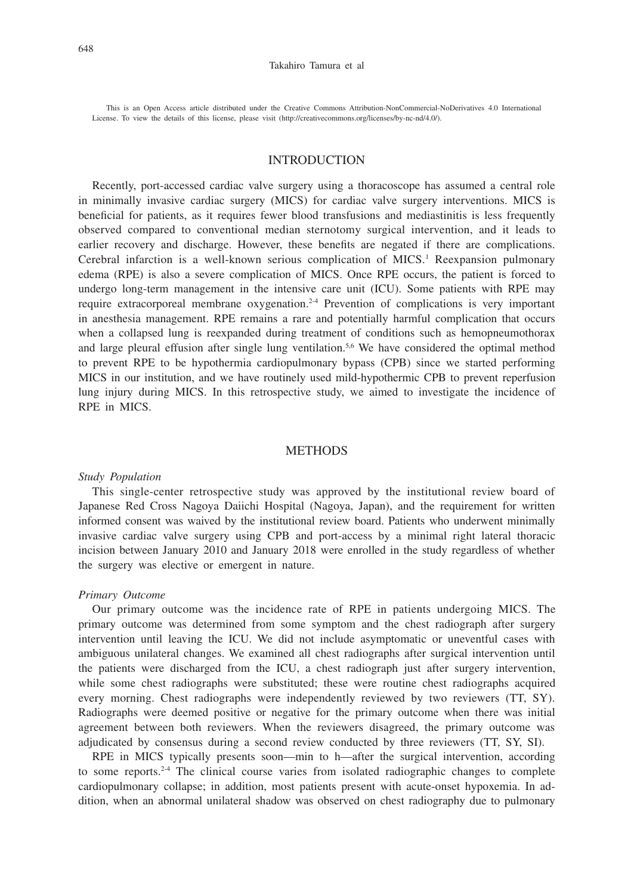#### Takahiro Tamura et al

This is an Open Access article distributed under the Creative Commons Attribution-NonCommercial-NoDerivatives 4.0 International License. To view the details of this license, please visit (http://creativecommons.org/licenses/by-nc-nd/4.0/).

# INTRODUCTION

Recently, port-accessed cardiac valve surgery using a thoracoscope has assumed a central role in minimally invasive cardiac surgery (MICS) for cardiac valve surgery interventions. MICS is beneficial for patients, as it requires fewer blood transfusions and mediastinitis is less frequently observed compared to conventional median sternotomy surgical intervention, and it leads to earlier recovery and discharge. However, these benefits are negated if there are complications. Cerebral infarction is a well-known serious complication of MICS.<sup>1</sup> Reexpansion pulmonary edema (RPE) is also a severe complication of MICS. Once RPE occurs, the patient is forced to undergo long-term management in the intensive care unit (ICU). Some patients with RPE may require extracorporeal membrane oxygenation.2-4 Prevention of complications is very important in anesthesia management. RPE remains a rare and potentially harmful complication that occurs when a collapsed lung is reexpanded during treatment of conditions such as hemopneumothorax and large pleural effusion after single lung ventilation.<sup>5,6</sup> We have considered the optimal method to prevent RPE to be hypothermia cardiopulmonary bypass (CPB) since we started performing MICS in our institution, and we have routinely used mild-hypothermic CPB to prevent reperfusion lung injury during MICS. In this retrospective study, we aimed to investigate the incidence of RPE in MICS.

## **METHODS**

#### *Study Population*

This single-center retrospective study was approved by the institutional review board of Japanese Red Cross Nagoya Daiichi Hospital (Nagoya, Japan), and the requirement for written informed consent was waived by the institutional review board. Patients who underwent minimally invasive cardiac valve surgery using CPB and port-access by a minimal right lateral thoracic incision between January 2010 and January 2018 were enrolled in the study regardless of whether the surgery was elective or emergent in nature.

#### *Primary Outcome*

Our primary outcome was the incidence rate of RPE in patients undergoing MICS. The primary outcome was determined from some symptom and the chest radiograph after surgery intervention until leaving the ICU. We did not include asymptomatic or uneventful cases with ambiguous unilateral changes. We examined all chest radiographs after surgical intervention until the patients were discharged from the ICU, a chest radiograph just after surgery intervention, while some chest radiographs were substituted; these were routine chest radiographs acquired every morning. Chest radiographs were independently reviewed by two reviewers (TT, SY). Radiographs were deemed positive or negative for the primary outcome when there was initial agreement between both reviewers. When the reviewers disagreed, the primary outcome was adjudicated by consensus during a second review conducted by three reviewers (TT, SY, SI).

RPE in MICS typically presents soon—min to h—after the surgical intervention, according to some reports.2-4 The clinical course varies from isolated radiographic changes to complete cardiopulmonary collapse; in addition, most patients present with acute-onset hypoxemia. In addition, when an abnormal unilateral shadow was observed on chest radiography due to pulmonary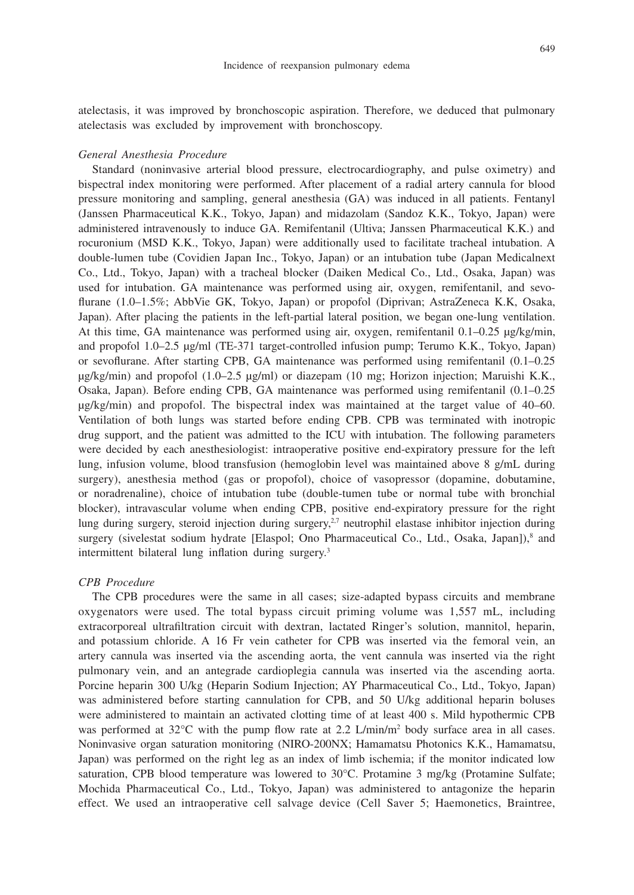atelectasis, it was improved by bronchoscopic aspiration. Therefore, we deduced that pulmonary atelectasis was excluded by improvement with bronchoscopy.

#### *General Anesthesia Procedure*

Standard (noninvasive arterial blood pressure, electrocardiography, and pulse oximetry) and bispectral index monitoring were performed. After placement of a radial artery cannula for blood pressure monitoring and sampling, general anesthesia (GA) was induced in all patients. Fentanyl (Janssen Pharmaceutical K.K., Tokyo, Japan) and midazolam (Sandoz K.K., Tokyo, Japan) were administered intravenously to induce GA. Remifentanil (Ultiva; Janssen Pharmaceutical K.K.) and rocuronium (MSD K.K., Tokyo, Japan) were additionally used to facilitate tracheal intubation. A double-lumen tube (Covidien Japan Inc., Tokyo, Japan) or an intubation tube (Japan Medicalnext Co., Ltd., Tokyo, Japan) with a tracheal blocker (Daiken Medical Co., Ltd., Osaka, Japan) was used for intubation. GA maintenance was performed using air, oxygen, remifentanil, and sevoflurane (1.0–1.5%; AbbVie GK, Tokyo, Japan) or propofol (Diprivan; AstraZeneca K.K, Osaka, Japan). After placing the patients in the left-partial lateral position, we began one-lung ventilation. At this time, GA maintenance was performed using air, oxygen, remifentanil 0.1–0.25 μg/kg/min, and propofol 1.0–2.5 µg/ml (TE-371 target-controlled infusion pump; Terumo K.K., Tokyo, Japan) or sevoflurane. After starting CPB, GA maintenance was performed using remifentanil (0.1–0.25 μg/kg/min) and propofol (1.0–2.5 µg/ml) or diazepam (10 mg; Horizon injection; Maruishi K.K., Osaka, Japan). Before ending CPB, GA maintenance was performed using remifentanil (0.1–0.25 μg/kg/min) and propofol. The bispectral index was maintained at the target value of 40–60. Ventilation of both lungs was started before ending CPB. CPB was terminated with inotropic drug support, and the patient was admitted to the ICU with intubation. The following parameters were decided by each anesthesiologist: intraoperative positive end-expiratory pressure for the left lung, infusion volume, blood transfusion (hemoglobin level was maintained above 8 g/mL during surgery), anesthesia method (gas or propofol), choice of vasopressor (dopamine, dobutamine, or noradrenaline), choice of intubation tube (double-tumen tube or normal tube with bronchial blocker), intravascular volume when ending CPB, positive end-expiratory pressure for the right lung during surgery, steroid injection during surgery, $2.7$  neutrophil elastase inhibitor injection during surgery (sivelestat sodium hydrate [Elaspol; Ono Pharmaceutical Co., Ltd., Osaka, Japan]),<sup>8</sup> and intermittent bilateral lung inflation during surgery.<sup>3</sup>

### *CPB Procedure*

The CPB procedures were the same in all cases; size-adapted bypass circuits and membrane oxygenators were used. The total bypass circuit priming volume was 1,557 mL, including extracorporeal ultrafiltration circuit with dextran, lactated Ringer's solution, mannitol, heparin, and potassium chloride. A 16 Fr vein catheter for CPB was inserted via the femoral vein, an artery cannula was inserted via the ascending aorta, the vent cannula was inserted via the right pulmonary vein, and an antegrade cardioplegia cannula was inserted via the ascending aorta. Porcine heparin 300 U/kg (Heparin Sodium Injection; AY Pharmaceutical Co., Ltd., Tokyo, Japan) was administered before starting cannulation for CPB, and 50 U/kg additional heparin boluses were administered to maintain an activated clotting time of at least 400 s. Mild hypothermic CPB was performed at 32°C with the pump flow rate at 2.2 L/min/m<sup>2</sup> body surface area in all cases. Noninvasive organ saturation monitoring (NIRO-200NX; Hamamatsu Photonics K.K., Hamamatsu, Japan) was performed on the right leg as an index of limb ischemia; if the monitor indicated low saturation, CPB blood temperature was lowered to 30°C. Protamine 3 mg/kg (Protamine Sulfate; Mochida Pharmaceutical Co., Ltd., Tokyo, Japan) was administered to antagonize the heparin effect. We used an intraoperative cell salvage device (Cell Saver 5; Haemonetics, Braintree,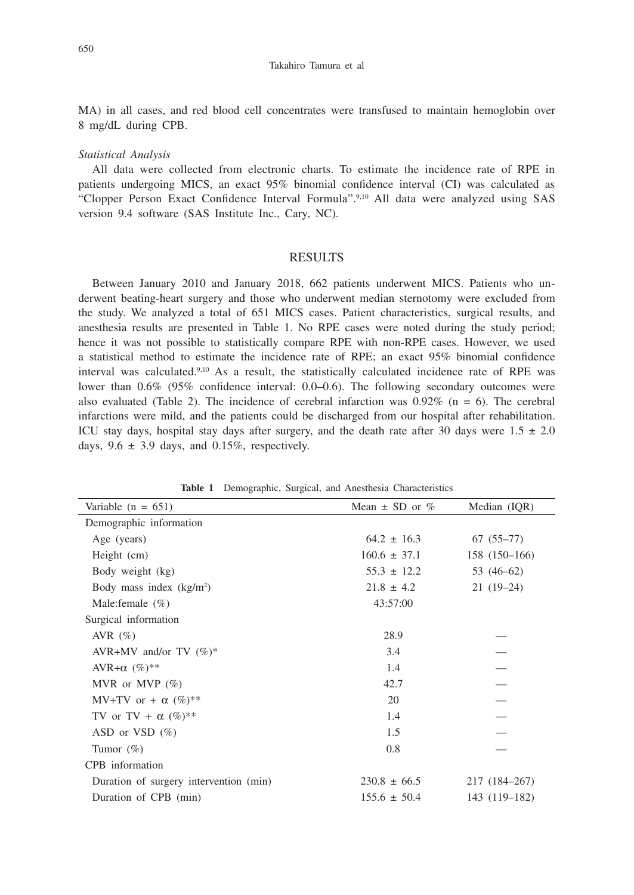#### Takahiro Tamura et al

MA) in all cases, and red blood cell concentrates were transfused to maintain hemoglobin over 8 mg/dL during CPB.

#### *Statistical Analysis*

All data were collected from electronic charts. To estimate the incidence rate of RPE in patients undergoing MICS, an exact 95% binomial confidence interval (CI) was calculated as "Clopper Person Exact Confidence Interval Formula".9,10 All data were analyzed using SAS version 9.4 software (SAS Institute Inc., Cary, NC).

## **RESULTS**

Between January 2010 and January 2018, 662 patients underwent MICS. Patients who underwent beating-heart surgery and those who underwent median sternotomy were excluded from the study. We analyzed a total of 651 MICS cases. Patient characteristics, surgical results, and anesthesia results are presented in Table 1. No RPE cases were noted during the study period; hence it was not possible to statistically compare RPE with non-RPE cases. However, we used a statistical method to estimate the incidence rate of RPE; an exact 95% binomial confidence interval was calculated.9,10 As a result, the statistically calculated incidence rate of RPE was lower than 0.6% (95% confidence interval: 0.0–0.6). The following secondary outcomes were also evaluated (Table 2). The incidence of cerebral infarction was  $0.92\%$  (n = 6). The cerebral infarctions were mild, and the patients could be discharged from our hospital after rehabilitation. ICU stay days, hospital stay days after surgery, and the death rate after 30 days were  $1.5 \pm 2.0$ days,  $9.6 \pm 3.9$  days, and  $0.15\%$ , respectively.

| Variable $(n = 651)$                   | Mean $\pm$ SD or % | Median (IQR)  |
|----------------------------------------|--------------------|---------------|
| Demographic information                |                    |               |
| Age (years)                            | $64.2 \pm 16.3$    | $67(55-77)$   |
| Height (cm)                            | $160.6 \pm 37.1$   | 158 (150-166) |
| Body weight (kg)                       | $55.3 \pm 12.2$    | 53 (46–62)    |
| Body mass index $(kg/m2)$              | $21.8 \pm 4.2$     | $21(19-24)$   |
| Male: female $(\% )$                   | 43:57:00           |               |
| Surgical information                   |                    |               |
| AVR $(\%)$                             | 28.9               |               |
| AVR+MV and/or TV $(\%)^*$              | 3.4                |               |
| AVR+ $\alpha$ (%)**                    | 1.4                |               |
| MVR or MVP $(\%)$                      | 42.7               |               |
| MV+TV or + $\alpha$ (%)**              | 20                 |               |
| TV or TV + $\alpha$ (%)**              | 1.4                |               |
| ASD or VSD $(\%)$                      | 1.5                |               |
| Tumor $(\%)$                           | 0.8                |               |
| CPB information                        |                    |               |
| Duration of surgery intervention (min) | $230.8 \pm 66.5$   | 217 (184–267) |
| Duration of CPB (min)                  | $155.6 \pm 50.4$   | 143 (119-182) |

**Table 1** Demographic, Surgical, and Anesthesia Characteristics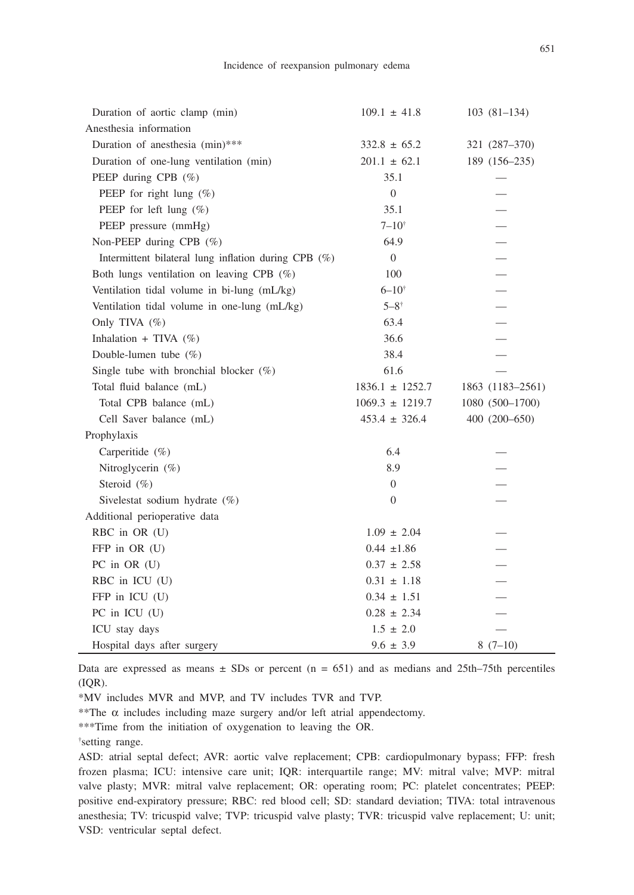| Duration of aortic clamp (min)                       | $109.1 \pm 41.8$    | $103(81-134)$            |
|------------------------------------------------------|---------------------|--------------------------|
| Anesthesia information                               |                     |                          |
| Duration of anesthesia (min)***                      | $332.8 \pm 65.2$    | 321 (287-370)            |
| Duration of one-lung ventilation (min)               | $201.1 \pm 62.1$    | 189 (156–235)            |
| PEEP during CPB $(\%)$                               | 35.1                |                          |
| PEEP for right lung $(\%)$                           | $\overline{0}$      |                          |
| PEEP for left lung $(\%)$                            | 35.1                |                          |
| PEEP pressure (mmHg)                                 | $7 - 10^{+}$        | $\overline{\phantom{0}}$ |
| Non-PEEP during CPB (%)                              | 64.9                |                          |
| Intermittent bilateral lung inflation during CPB (%) | $\mathbf{0}$        |                          |
| Both lungs ventilation on leaving CPB (%)            | 100                 |                          |
| Ventilation tidal volume in bi-lung (mL/kg)          | $6 - 10^{+}$        | $\overline{\phantom{0}}$ |
| Ventilation tidal volume in one-lung (mL/kg)         | $5 - 8^+$           |                          |
| Only TIVA (%)                                        | 63.4                | $\qquad \qquad$          |
| Inhalation + TIVA $(\%)$                             | 36.6                | $\overline{\phantom{0}}$ |
| Double-lumen tube (%)                                | 38.4                |                          |
| Single tube with bronchial blocker $(\%)$            | 61.6                |                          |
| Total fluid balance (mL)                             | $1836.1 \pm 1252.7$ | 1863 (1183-2561)         |
| Total CPB balance (mL)                               | $1069.3 \pm 1219.7$ | 1080 (500-1700)          |
| Cell Saver balance (mL)                              | $453.4 \pm 326.4$   | 400 (200-650)            |
| Prophylaxis                                          |                     |                          |
| Carperitide (%)                                      | 6.4                 |                          |
| Nitroglycerin (%)                                    | 8.9                 |                          |
| Steroid (%)                                          | $\boldsymbol{0}$    |                          |
| Sivelestat sodium hydrate (%)                        | $\boldsymbol{0}$    |                          |
| Additional perioperative data                        |                     |                          |
| RBC in OR (U)                                        | $1.09 \pm 2.04$     |                          |
| FFP in OR (U)                                        | $0.44 \pm 1.86$     |                          |
| PC in OR (U)                                         | $0.37 \pm 2.58$     |                          |
| RBC in ICU (U)                                       | $0.31 \pm 1.18$     |                          |
| FFP in ICU (U)                                       | $0.34 \pm 1.51$     |                          |
| PC in ICU (U)                                        | $0.28 \pm 2.34$     |                          |
| ICU stay days                                        | $1.5 \pm 2.0$       |                          |
| Hospital days after surgery                          | $9.6 \pm 3.9$       | $8(7-10)$                |

Data are expressed as means  $\pm$  SDs or percent (n = 651) and as medians and 25th–75th percentiles (IQR).

\*MV includes MVR and MVP, and TV includes TVR and TVP.

 $*$ The α includes including maze surgery and/or left atrial appendectomy.

\*\*\*Time from the initiation of oxygenation to leaving the OR.

† setting range.

ASD: atrial septal defect; AVR: aortic valve replacement; CPB: cardiopulmonary bypass; FFP: fresh frozen plasma; ICU: intensive care unit; IQR: interquartile range; MV: mitral valve; MVP: mitral valve plasty; MVR: mitral valve replacement; OR: operating room; PC: platelet concentrates; PEEP: positive end-expiratory pressure; RBC: red blood cell; SD: standard deviation; TIVA: total intravenous anesthesia; TV: tricuspid valve; TVP: tricuspid valve plasty; TVR: tricuspid valve replacement; U: unit; VSD: ventricular septal defect.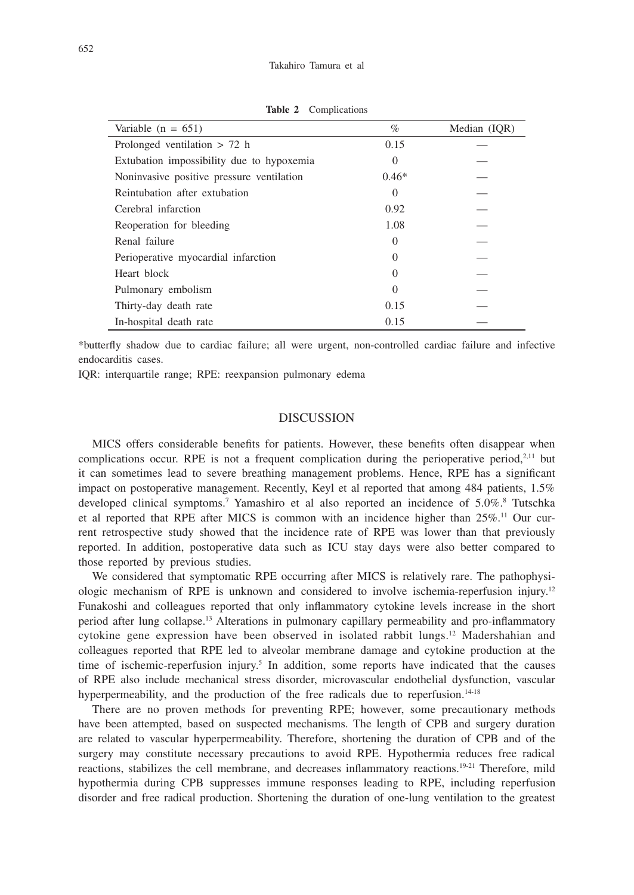| Variable $(n = 651)$                      | $\%$             | Median (IQR) |
|-------------------------------------------|------------------|--------------|
| Prolonged ventilation $> 72$ h            | 0.15             |              |
| Extubation impossibility due to hypoxemia | $\theta$         |              |
| Noninvasive positive pressure ventilation | $0.46*$          |              |
| Reintubation after extubation             | 0                |              |
| Cerebral infarction                       | 0.92             |              |
| Reoperation for bleeding                  | 1.08             |              |
| Renal failure                             | $\mathcal{L}$    |              |
| Perioperative myocardial infarction       | $\left( \right)$ |              |
| Heart block                               | $\left( \right)$ |              |
| Pulmonary embolism                        | $\theta$         |              |
| Thirty-day death rate                     | 0.15             |              |
| In-hospital death rate                    | 0.15             |              |

**Table 2** Complications

\*butterfly shadow due to cardiac failure; all were urgent, non-controlled cardiac failure and infective endocarditis cases.

IQR: interquartile range; RPE: reexpansion pulmonary edema

# DISCUSSION

MICS offers considerable benefits for patients. However, these benefits often disappear when complications occur. RPE is not a frequent complication during the perioperative period, $2.11$  but it can sometimes lead to severe breathing management problems. Hence, RPE has a significant impact on postoperative management. Recently, Keyl et al reported that among 484 patients, 1.5% developed clinical symptoms.<sup>7</sup> Yamashiro et al also reported an incidence of 5.0%.<sup>8</sup> Tutschka et al reported that RPE after MICS is common with an incidence higher than 25%.11 Our current retrospective study showed that the incidence rate of RPE was lower than that previously reported. In addition, postoperative data such as ICU stay days were also better compared to those reported by previous studies.

We considered that symptomatic RPE occurring after MICS is relatively rare. The pathophysiologic mechanism of RPE is unknown and considered to involve ischemia-reperfusion injury.12 Funakoshi and colleagues reported that only inflammatory cytokine levels increase in the short period after lung collapse.13 Alterations in pulmonary capillary permeability and pro-inflammatory cytokine gene expression have been observed in isolated rabbit lungs.12 Madershahian and colleagues reported that RPE led to alveolar membrane damage and cytokine production at the time of ischemic-reperfusion injury.<sup>5</sup> In addition, some reports have indicated that the causes of RPE also include mechanical stress disorder, microvascular endothelial dysfunction, vascular hyperpermeability, and the production of the free radicals due to reperfusion.<sup>14-18</sup>

There are no proven methods for preventing RPE; however, some precautionary methods have been attempted, based on suspected mechanisms. The length of CPB and surgery duration are related to vascular hyperpermeability. Therefore, shortening the duration of CPB and of the surgery may constitute necessary precautions to avoid RPE. Hypothermia reduces free radical reactions, stabilizes the cell membrane, and decreases inflammatory reactions.19-21 Therefore, mild hypothermia during CPB suppresses immune responses leading to RPE, including reperfusion disorder and free radical production. Shortening the duration of one-lung ventilation to the greatest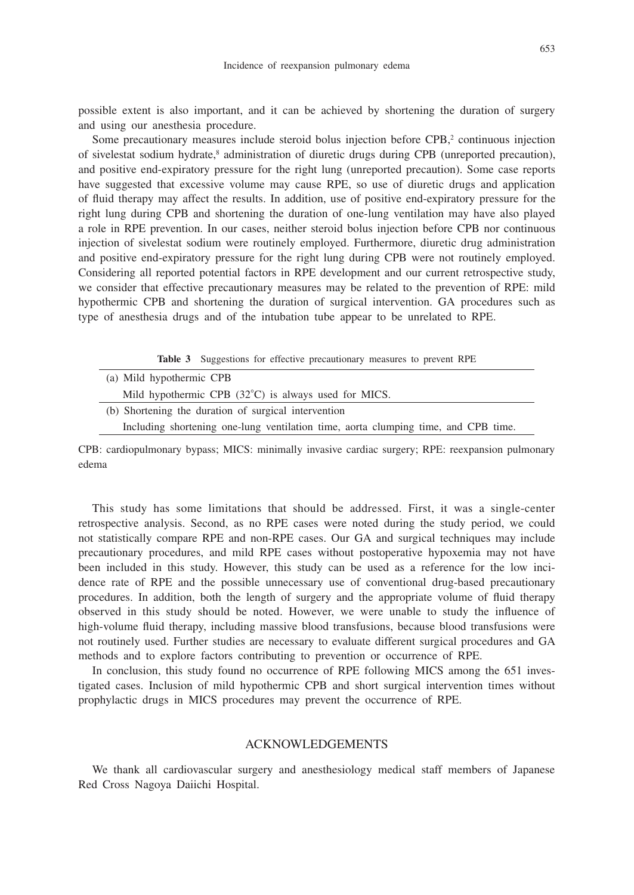possible extent is also important, and it can be achieved by shortening the duration of surgery and using our anesthesia procedure.

Some precautionary measures include steroid bolus injection before  $\text{CPB}$ ,<sup>2</sup> continuous injection of sivelestat sodium hydrate,<sup>8</sup> administration of diuretic drugs during CPB (unreported precaution), and positive end-expiratory pressure for the right lung (unreported precaution). Some case reports have suggested that excessive volume may cause RPE, so use of diuretic drugs and application of fluid therapy may affect the results. In addition, use of positive end-expiratory pressure for the right lung during CPB and shortening the duration of one-lung ventilation may have also played a role in RPE prevention. In our cases, neither steroid bolus injection before CPB nor continuous injection of sivelestat sodium were routinely employed. Furthermore, diuretic drug administration and positive end-expiratory pressure for the right lung during CPB were not routinely employed. Considering all reported potential factors in RPE development and our current retrospective study, we consider that effective precautionary measures may be related to the prevention of RPE: mild hypothermic CPB and shortening the duration of surgical intervention. GA procedures such as type of anesthesia drugs and of the intubation tube appear to be unrelated to RPE.

| (a) Mild hypothermic CPB<br>Mild hypothermic CPB $(32^{\circ}C)$ is always used for MICS.<br>(b) Shortening the duration of surgical intervention |
|---------------------------------------------------------------------------------------------------------------------------------------------------|
|                                                                                                                                                   |
|                                                                                                                                                   |
|                                                                                                                                                   |
| Including shortening one-lung ventilation time, aorta clumping time, and CPB time.                                                                |

CPB: cardiopulmonary bypass; MICS: minimally invasive cardiac surgery; RPE: reexpansion pulmonary edema

This study has some limitations that should be addressed. First, it was a single-center retrospective analysis. Second, as no RPE cases were noted during the study period, we could not statistically compare RPE and non-RPE cases. Our GA and surgical techniques may include precautionary procedures, and mild RPE cases without postoperative hypoxemia may not have been included in this study. However, this study can be used as a reference for the low incidence rate of RPE and the possible unnecessary use of conventional drug-based precautionary procedures. In addition, both the length of surgery and the appropriate volume of fluid therapy observed in this study should be noted. However, we were unable to study the influence of high-volume fluid therapy, including massive blood transfusions, because blood transfusions were not routinely used. Further studies are necessary to evaluate different surgical procedures and GA methods and to explore factors contributing to prevention or occurrence of RPE.

In conclusion, this study found no occurrence of RPE following MICS among the 651 investigated cases. Inclusion of mild hypothermic CPB and short surgical intervention times without prophylactic drugs in MICS procedures may prevent the occurrence of RPE.

## ACKNOWLEDGEMENTS

We thank all cardiovascular surgery and anesthesiology medical staff members of Japanese Red Cross Nagoya Daiichi Hospital.